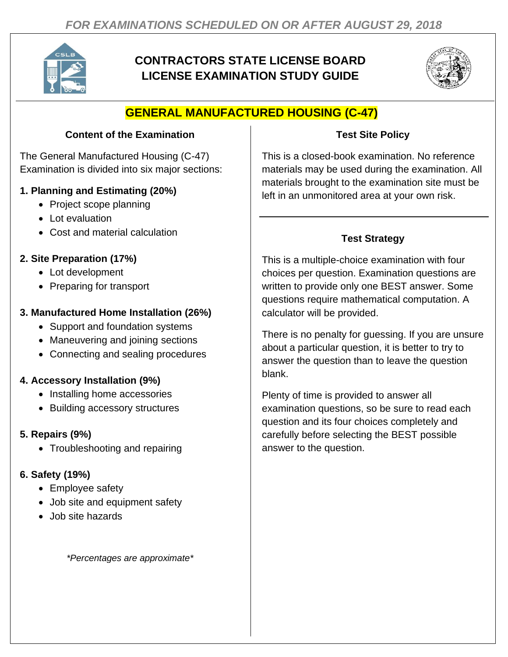

# **CONTRACTORS STATE LICENSE BOARD LICENSE EXAMINATION STUDY GUIDE**



# **GENERAL MANUFACTURED HOUSING (C-47)**

#### **Content of the Examination**

The General Manufactured Housing (C-47) Examination is divided into six major sections:

#### **1. Planning and Estimating (20%)**

- Project scope planning
- Lot evaluation
- Cost and material calculation

# **2. Site Preparation (17%)**

- Lot development
- Preparing for transport

# **3. Manufactured Home Installation (26%)**

- Support and foundation systems
- Maneuvering and joining sections
- Connecting and sealing procedures

### **4. Accessory Installation (9%)**

- Installing home accessories
- Building accessory structures

### **5. Repairs (9%)**

• Troubleshooting and repairing

### **6. Safety (19%)**

- Employee safety
- Job site and equipment safety
- Job site hazards

*\*Percentages are approximate\**

## **Test Site Policy**

This is a closed-book examination. No reference materials may be used during the examination. All materials brought to the examination site must be left in an unmonitored area at your own risk.

# **Test Strategy**

This is a multiple-choice examination with four choices per question. Examination questions are written to provide only one BEST answer. Some questions require mathematical computation. A calculator will be provided.

There is no penalty for guessing. If you are unsure about a particular question, it is better to try to answer the question than to leave the question blank.

Plenty of time is provided to answer all examination questions, so be sure to read each question and its four choices completely and carefully before selecting the BEST possible answer to the question.